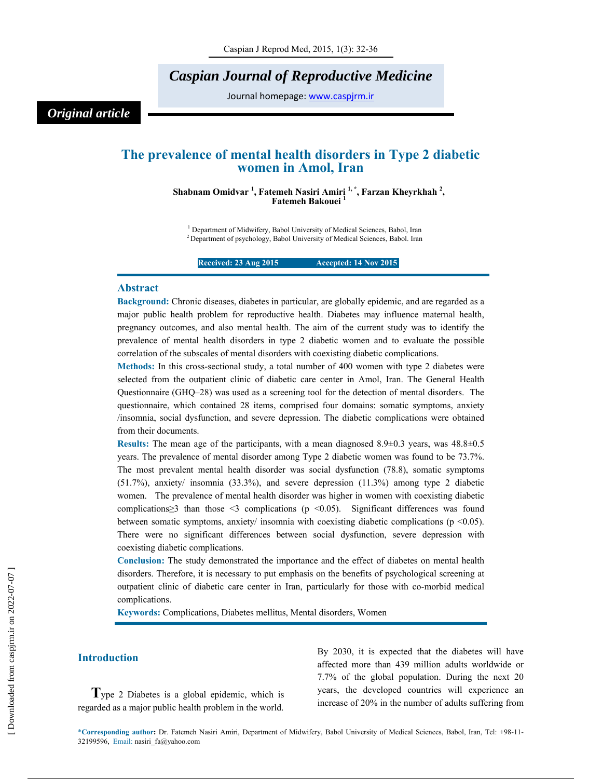# *Caspian Journal of Reproductive Medicine*

Journal homepage: www.caspjrm.ir

# *Original article*

## **The prevalence of mental health disorders in Type 2 diabetic women in Amol, Iran**

**Shabnam Omidvar 1 , Fatemeh Nasiri Amiri 1, \*, Farzan Kheyrkhah 2 , Fatemeh Bakouei 1** 

<sup>1</sup> Department of Midwifery, Babol University of Medical Sciences, Babol, Iran 2 Department of psychology, Babol University of Medical Sciences, Babol. Iran

**Received: 23 Aug 2015 14 Nov 2015** 

### **Abstract**

**Background:** Chronic diseases, diabetes in particular, are globally epidemic, and are regarded as a major public health problem for reproductive health. Diabetes may influence maternal health, pregnancy outcomes, and also mental health. The aim of the current study was to identify the prevalence of mental health disorders in type 2 diabetic women and to evaluate the possible correlation of the subscales of mental disorders with coexisting diabetic complications.

**Methods:** In this cross-sectional study, a total number of 400 women with type 2 diabetes were selected from the outpatient clinic of diabetic care center in Amol, Iran. The General Health Questionnaire (GHQ–28) was used as a screening tool for the detection of mental disorders. The questionnaire, which contained 28 items, comprised four domains: somatic symptoms, anxiety /insomnia, social dysfunction, and severe depression. The diabetic complications were obtained from their documents.

**Results:** The mean age of the participants, with a mean diagnosed 8.9±0.3 years, was 48.8±0.5 years. The prevalence of mental disorder among Type 2 diabetic women was found to be 73.7%. The most prevalent mental health disorder was social dysfunction (78.8), somatic symptoms (51.7%), anxiety/ insomnia (33.3%), and severe depression (11.3%) among type 2 diabetic women. The prevalence of mental health disorder was higher in women with coexisting diabetic complications≥3 than those <3 complications (p <0.05). Significant differences was found between somatic symptoms, anxiety/ insomnia with coexisting diabetic complications (p <0.05). There were no significant differences between social dysfunction, severe depression with coexisting diabetic complications.

**Conclusion:** The study demonstrated the importance and the effect of diabetes on mental health disorders. Therefore, it is necessary to put emphasis on the benefits of psychological screening at outpatient clinic of diabetic care center in Iran, particularly for those with co-morbid medical complications.

**Keywords:** Complications, Diabetes mellitus, Mental disorders, Women

### **Introduction**

**T**ype 2 Diabetes is a global epidemic, which is regarded as a major public health problem in the world.

By 2030, it is expected that the diabetes will have affected more than 439 million adults worldwide or 7.7% of the global population. During the next 20 years, the developed countries will experience an increase of 20% in the number of adults suffering from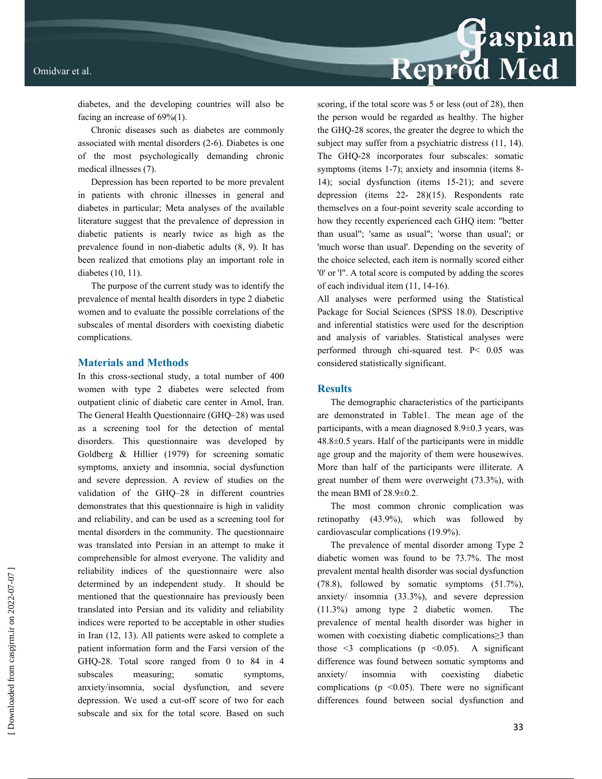# Reprod Med

diabetes, and the developing countries will also be facing an increase of 69%(1).

Chronic diseases such as diabetes are commonly associated with mental disorders (2-6). Diabetes is one of the most psychologically demanding chronic medical illnesses (7).

Depression has been reported to be more prevalent in patients with chronic illnesses in general and diabetes in particular; Meta analyses of the available literature suggest that the prevalence of depression in diabetic patients is nearly twice as high as the prevalence found in non-diabetic adults (8, 9). It has been realized that emotions play an important role in diabetes (10, 11).

The purpose of the current study was to identify the prevalence of mental health disorders in type 2 diabetic women and to evaluate the possible correlations of the subscales of mental disorders with coexisting diabetic complications.

### **Materials and Methods**

In this cross-sectional study, a total number of 400 women with type 2 diabetes were selected from outpatient clinic of diabetic care center in Amol, Iran. The General Health Questionnaire (GHQ–28) was used as a screening tool for the detection of mental disorders. This questionnaire was developed by Goldberg & Hillier (1979) for screening somatic symptoms, anxiety and insomnia, social dysfunction and severe depression. A review of studies on the validation of the GHQ–28 in different countries demonstrates that this questionnaire is high in validity and reliability, and can be used as a screening tool for mental disorders in the community. The questionnaire was translated into Persian in an attempt to make it comprehensible for almost everyone. The validity and reliability indices of the questionnaire were also determined by an independent study. It should be mentioned that the questionnaire has previously been translated into Persian and its validity and reliability indices were reported to be acceptable in other studies in Iran (12, 13). All patients were asked to complete a patient information form and the Farsi version of the GHQ-28. Total score ranged from 0 to 84 in 4 subscales measuring; somatic symptoms, anxiety/insomnia, social dysfunction, and severe depression. We used a cut-off score of two for each subscale and six for the total score. Based on such

scoring, if the total score was 5 or less (out of 28), then the person would be regarded as healthy. The higher the GHQ-28 scores, the greater the degree to which the subject may suffer from a psychiatric distress  $(11, 14)$ . The GHQ-28 incorporates four subscales: somatic symptoms (items 1-7); anxiety and insomnia (items 8-14); social dysfunction (items 15-21); and severe depression (items 22- 28)(15). Respondents rate themselves on a four-point severity scale according to how they recently experienced each GHQ item: "better than usual"; 'same as usual"; 'worse than usual'; or 'much worse than usual'. Depending on the severity of the choice selected, each item is normally scored either '0' or 'l". A total score is computed by adding the scores of each individual item (11, 14-16).

All analyses were performed using the Statistical Package for Social Sciences (SPSS 18.0). Descriptive and inferential statistics were used for the description and analysis of variables. Statistical analyses were performed through chi-squared test. P< 0.05 was considered statistically significant.

### **Results**

The demographic characteristics of the participants are demonstrated in Table1. The mean age of the participants, with a mean diagnosed 8.9±0.3 years, was 48.8±0.5 years. Half of the participants were in middle age group and the majority of them were housewives. More than half of the participants were illiterate. A great number of them were overweight (73.3%), with the mean BMI of 28.9±0.2.

The most common chronic complication was retinopathy (43.9%), which was followed by cardiovascular complications (19.9%).

The prevalence of mental disorder among Type 2 diabetic women was found to be 73.7%. The most prevalent mental health disorder was social dysfunction (78.8), followed by somatic symptoms (51.7%), anxiety/ insomnia (33.3%), and severe depression (11.3%) among type 2 diabetic women. The prevalence of mental health disorder was higher in women with coexisting diabetic complications≥3 than those  $\leq$  complications (p  $\leq$  0.05). A significant difference was found between somatic symptoms and anxiety/ insomnia with coexisting diabetic complications ( $p \le 0.05$ ). There were no significant differences found between social dysfunction and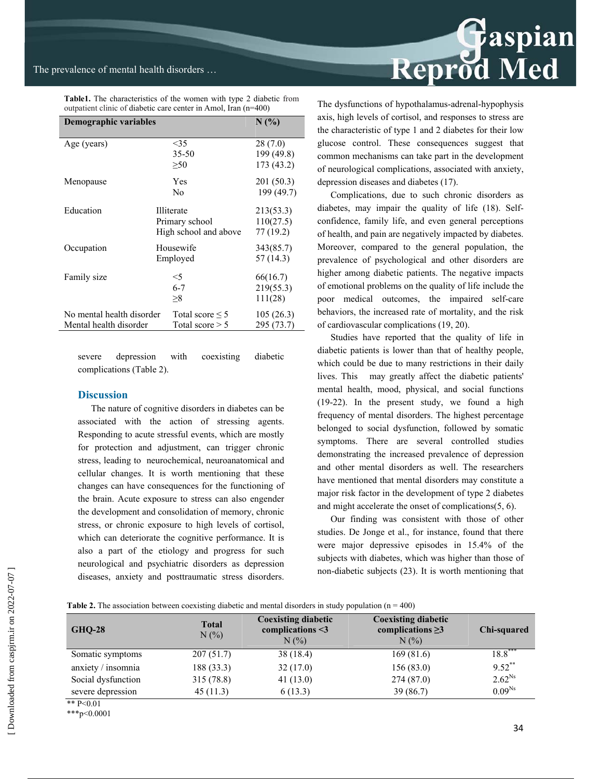| outpatient clinic of diabetic care center in Amol, Iran (n=400) |                                                              |                                      |  |  |  |
|-----------------------------------------------------------------|--------------------------------------------------------------|--------------------------------------|--|--|--|
| Demographic variables                                           | $N(\%)$                                                      |                                      |  |  |  |
| Age (years)                                                     | $<$ 35<br>$35 - 50$<br>$\geq 50$                             | 28 (7.0)<br>199 (49.8)<br>173 (43.2) |  |  |  |
| Menopause                                                       | Yes<br>No                                                    | 201 (50.3)<br>199 (49.7)             |  |  |  |
| Education                                                       | <b>Illiterate</b><br>Primary school<br>High school and above | 213(53.3)<br>110(27.5)<br>77 (19.2)  |  |  |  |
| Occupation                                                      | Housewife<br>Employed                                        | 343(85.7)<br>57 (14.3)               |  |  |  |
| Family size                                                     | $<$ 5<br>$6 - 7$<br>>8                                       | 66(16.7)<br>219(55.3)<br>111(28)     |  |  |  |
| No mental health disorder<br>Mental health disorder             | Total score $\leq 5$<br>Total score $> 5$                    | 105(26.3)<br>295 (73.7)              |  |  |  |

**Table1.** The characteristics of the women with type 2 diabetic from outpatient clinic of diabetic care center in Amol, Iran (n=400)

severe depression with coexisting diabetic complications (Table 2).

### **Discussion**

The nature of cognitive disorders in diabetes can be associated with the action of stressing agents. Responding to acute stressful events, which are mostly for protection and adjustment, can trigger chronic stress, leading to neurochemical, neuroanatomical and cellular changes. It is worth mentioning that these changes can have consequences for the functioning of the brain. Acute exposure to stress can also engender the development and consolidation of memory, chronic stress, or chronic exposure to high levels of cortisol, which can deteriorate the cognitive performance. It is also a part of the etiology and progress for such neurological and psychiatric disorders as depression diseases, anxiety and posttraumatic stress disorders.



The dysfunctions of hypothalamus-adrenal-hypophysis axis, high levels of cortisol, and responses to stress are the characteristic of type 1 and 2 diabetes for their low glucose control. These consequences suggest that common mechanisms can take part in the development of neurological complications, associated with anxiety, depression diseases and diabetes (17).

Complications, due to such chronic disorders as diabetes, may impair the quality of life (18). Selfconfidence, family life, and even general perceptions of health, and pain are negatively impacted by diabetes. Moreover, compared to the general population, the prevalence of psychological and other disorders are higher among diabetic patients. The negative impacts of emotional problems on the quality of life include the poor medical outcomes, the impaired self-care behaviors, the increased rate of mortality, and the risk of cardiovascular complications (19, 20).

Studies have reported that the quality of life in diabetic patients is lower than that of healthy people, which could be due to many restrictions in their daily lives. This may greatly affect the diabetic patients' mental health, mood, physical, and social functions (19-22). In the present study, we found a high frequency of mental disorders. The highest percentage belonged to social dysfunction, followed by somatic symptoms. There are several controlled studies demonstrating the increased prevalence of depression and other mental disorders as well. The researchers have mentioned that mental disorders may constitute a major risk factor in the development of type 2 diabetes and might accelerate the onset of complications(5, 6).

Our finding was consistent with those of other studies. De Jonge et al., for instance, found that there were major depressive episodes in 15.4% of the subjects with diabetes, which was higher than those of non-diabetic subjects (23). It is worth mentioning that

| <b>GHQ-28</b>      | <b>Total</b><br>$N(\%)$ | <b>Coexisting diabetic</b><br>complications $\leq$ 3<br>$N(\%)$ | <b>Coexisting diabetic</b><br>complications $\geq$ 3<br>$N(\%)$ | Chi-squared |
|--------------------|-------------------------|-----------------------------------------------------------------|-----------------------------------------------------------------|-------------|
| Somatic symptoms   | 207(51.7)               | 38 (18.4)                                                       | 169(81.6)                                                       | $18.8***$   |
| anxiety / insomnia | 188 (33.3)              | 32(17.0)                                                        | 156(83.0)                                                       | $9.52***$   |
| Social dysfunction | 315(78.8)               | 41(13.0)                                                        | 274(87.0)                                                       | $2.62^{Ns}$ |
| severe depression  | 45(11.3)                | 6(13.3)                                                         | 39(86.7)                                                        | $0.09^{Ns}$ |
| ** $D \angle 0.01$ |                         |                                                                 |                                                                 |             |

\*\* P<0.01

\*\*\*p<0.0001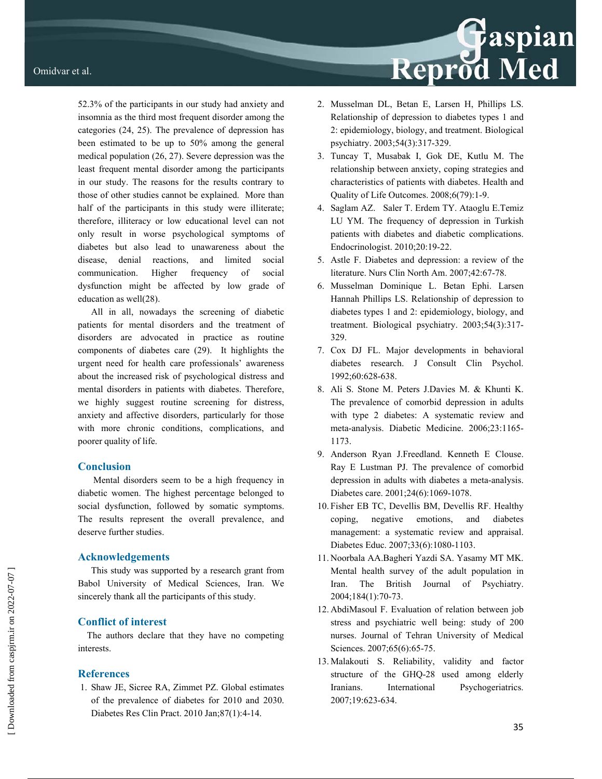52.3% of the participants in our study had anxiety and insomnia as the third most frequent disorder among the categories (24, 25). The prevalence of depression has been estimated to be up to 50% among the general medical population (26, 27). Severe depression was the least frequent mental disorder among the participants in our study. The reasons for the results contrary to those of other studies cannot be explained. More than half of the participants in this study were illiterate; therefore, illiteracy or low educational level can not only result in worse psychological symptoms of diabetes but also lead to unawareness about the disease, denial reactions, and limited social communication. Higher frequency of social dysfunction might be affected by low grade of education as well(28).

All in all, nowadays the screening of diabetic patients for mental disorders and the treatment of disorders are advocated in practice as routine components of diabetes care (29). It highlights the urgent need for health care professionals' awareness about the increased risk of psychological distress and mental disorders in patients with diabetes. Therefore, we highly suggest routine screening for distress, anxiety and affective disorders, particularly for those with more chronic conditions, complications, and poorer quality of life.

### **Conclusion**

Mental disorders seem to be a high frequency in diabetic women. The highest percentage belonged to social dysfunction, followed by somatic symptoms. The results represent the overall prevalence, and deserve further studies.

### **Acknowledgements**

This study was supported by a research grant from Babol University of Medical Sciences, Iran. We sincerely thank all the participants of this study.

### **Conflict of interest**

 The authors declare that they have no competing interests.

### **References**

 1. Shaw JE, Sicree RA, Zimmet PZ. Global estimates of the prevalence of diabetes for 2010 and 2030. Diabetes Res Clin Pract. 2010 Jan;87(1):4-14.

2. Musselman DL, Betan E, Larsen H, Phillips LS. Relationship of depression to diabetes types 1 and 2: epidemiology, biology, and treatment. Biological psychiatry. 2003;54(3):317-329.

Reprod Med

- 3. Tuncay T, Musabak I, Gok DE, Kutlu M. The relationship between anxiety, coping strategies and characteristics of patients with diabetes. Health and Quality of Life Outcomes. 2008;6(79):1-9.
- 4. Saglam AZ. Saler T. Erdem TY. Ataoglu E.Temiz LU YM. The frequency of depression in Turkish patients with diabetes and diabetic complications. Endocrinologist. 2010;20:19-22.
- 5. Astle F. Diabetes and depression: a review of the literature. Nurs Clin North Am. 2007;42:67-78.
- 6. Musselman Dominique L. Betan Ephi. Larsen Hannah Phillips LS. Relationship of depression to diabetes types 1 and 2: epidemiology, biology, and treatment. Biological psychiatry. 2003;54(3):317- 329.
- 7. Cox DJ FL. Major developments in behavioral diabetes research. J Consult Clin Psychol. 1992;60:628-638.
- 8. Ali S. Stone M. Peters J.Davies M. & Khunti K. The prevalence of comorbid depression in adults with type 2 diabetes: A systematic review and meta-analysis. Diabetic Medicine. 2006;23:1165- 1173.
- 9. Anderson Ryan J.Freedland. Kenneth E Clouse. Ray E Lustman PJ. The prevalence of comorbid depression in adults with diabetes a meta-analysis. Diabetes care. 2001;24(6):1069-1078.
- 10. Fisher EB TC, Devellis BM, Devellis RF. Healthy coping, negative emotions, and diabetes management: a systematic review and appraisal. Diabetes Educ. 2007;33(6):1080-1103.
- 11. Noorbala AA.Bagheri Yazdi SA. Yasamy MT MK. Mental health survey of the adult population in Iran. The British Journal of Psychiatry. 2004;184(1):70-73.
- 12. AbdiMasoul F. Evaluation of relation between job stress and psychiatric well being: study of 200 nurses. Journal of Tehran University of Medical Sciences. 2007;65(6):65-75.
- 13. Malakouti S. Reliability, validity and factor structure of the GHQ-28 used among elderly Iranians. International Psychogeriatrics. 2007;19:623-634.